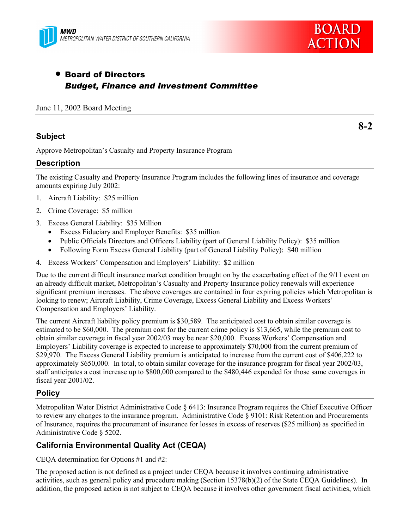



**8-2**

# • Board of Directors *Budget, Finance and Investment Committee*

#### June 11, 2002 Board Meeting

### **Subject**

Approve Metropolitan's Casualty and Property Insurance Program

### **Description**

The existing Casualty and Property Insurance Program includes the following lines of insurance and coverage amounts expiring July 2002:

- 1. Aircraft Liability: \$25 million
- 2. Crime Coverage: \$5 million
- 3. Excess General Liability: \$35 Million
	- Excess Fiduciary and Employer Benefits: \$35 million
	- Public Officials Directors and Officers Liability (part of General Liability Policy): \$35 million
	- Following Form Excess General Liability (part of General Liability Policy): \$40 million
- 4. Excess Workers' Compensation and Employers' Liability: \$2 million

Due to the current difficult insurance market condition brought on by the exacerbating effect of the 9/11 event on an already difficult market, Metropolitan's Casualty and Property Insurance policy renewals will experience significant premium increases. The above coverages are contained in four expiring policies which Metropolitan is looking to renew; Aircraft Liability, Crime Coverage, Excess General Liability and Excess Workers' Compensation and Employers' Liability.

The current Aircraft liability policy premium is \$30,589. The anticipated cost to obtain similar coverage is estimated to be \$60,000. The premium cost for the current crime policy is \$13,665, while the premium cost to obtain similar coverage in fiscal year 2002/03 may be near \$20,000. Excess Workers' Compensation and Employers' Liability coverage is expected to increase to approximately \$70,000 from the current premium of \$29,970. The Excess General Liability premium is anticipated to increase from the current cost of \$406,222 to approximately \$650,000. In total, to obtain similar coverage for the insurance program for fiscal year 2002/03, staff anticipates a cost increase up to \$800,000 compared to the \$480,446 expended for those same coverages in fiscal year 2001/02.

# **Policy**

Metropolitan Water District Administrative Code § 6413: Insurance Program requires the Chief Executive Officer to review any changes to the insurance program. Administrative Code § 9101: Risk Retention and Procurements of Insurance, requires the procurement of insurance for losses in excess of reserves (\$25 million) as specified in Administrative Code § 5202.

# **California Environmental Quality Act (CEQA)**

CEQA determination for Options #1 and #2:

The proposed action is not defined as a project under CEQA because it involves continuing administrative activities, such as general policy and procedure making (Section 15378(b)(2) of the State CEQA Guidelines). In addition, the proposed action is not subject to CEQA because it involves other government fiscal activities, which